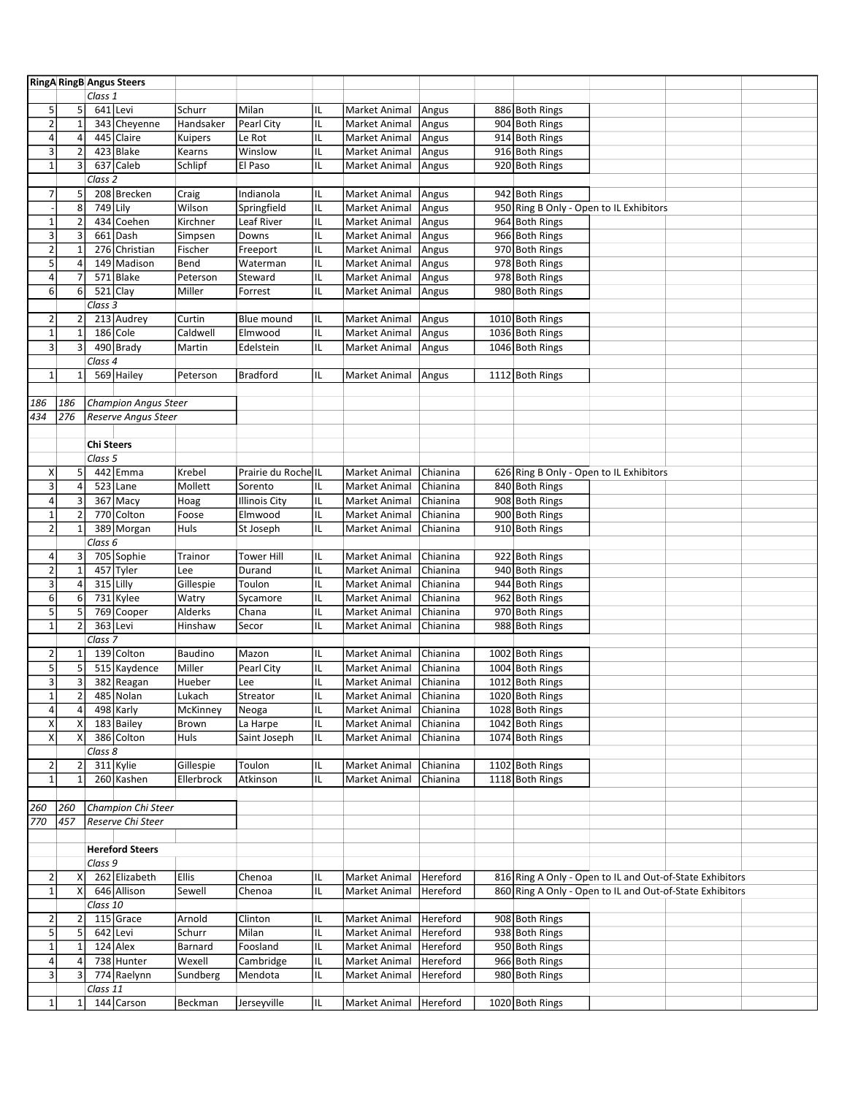|                         |                         |                    | <b>RingA RingB Angus Steers</b> |              |                      |    |               |          |                                         |                                                          |  |
|-------------------------|-------------------------|--------------------|---------------------------------|--------------|----------------------|----|---------------|----------|-----------------------------------------|----------------------------------------------------------|--|
|                         |                         | Class 1            |                                 |              |                      |    |               |          |                                         |                                                          |  |
| 5                       | 5                       |                    | 641 Levi                        | Schurr       | Milan                | IL | Market Animal | Angus    | 886 Both Rings                          |                                                          |  |
| $\overline{2}$          | $\mathbf 1$             |                    | 343 Cheyenne                    | Handsaker    | Pearl City           | IL | Market Animal | Angus    | 904 Both Rings                          |                                                          |  |
| $\overline{4}$          | $\overline{4}$          |                    | 445 Claire                      | Kuipers      | Le Rot               | IL | Market Animal | Angus    | 914 Both Rings                          |                                                          |  |
| $\mathsf 3$             | $\overline{2}$          |                    | 423 Blake                       | Kearns       | Winslow              | IL | Market Animal | Angus    | 916 Both Rings                          |                                                          |  |
| $\overline{1}$          | 3                       |                    | 637 Caleb                       | Schlipf      | El Paso              | IL | Market Animal | Angus    | 920 Both Rings                          |                                                          |  |
|                         |                         | Class 2            |                                 |              |                      |    |               |          |                                         |                                                          |  |
|                         |                         |                    |                                 |              |                      |    |               |          |                                         |                                                          |  |
| $\overline{7}$          | 5                       |                    | 208 Brecken                     | Craig        | Indianola            | IL | Market Animal | Angus    | 942 Both Rings                          |                                                          |  |
|                         | 8                       | 749 Lily           |                                 | Wilson       | Springfield          | IL | Market Animal | Angus    | 950 Ring B Only - Open to IL Exhibitors |                                                          |  |
| $\mathbf 1$             | $\overline{2}$          |                    | 434 Coehen                      | Kirchner     | Leaf River           | IL | Market Animal | Angus    | 964 Both Rings                          |                                                          |  |
| $\mathsf 3$             | 3                       |                    | 661 Dash                        | Simpsen      | Downs                | IL | Market Animal | Angus    | 966 Both Rings                          |                                                          |  |
| $\mathbf 2$             |                         |                    | 276 Christian                   | Fischer      | Freeport             | IL | Market Animal | Angus    | 970 Both Rings                          |                                                          |  |
| 5                       | $\overline{4}$          |                    | 149 Madison                     | Bend         | Waterman             | IL | Market Animal | Angus    | 978 Both Rings                          |                                                          |  |
| $\overline{\mathbf{4}}$ | 7                       |                    | 571 Blake                       | Peterson     | Steward              | IL | Market Animal | Angus    | 978 Both Rings                          |                                                          |  |
| 6                       | 6                       |                    | $521$ Clay                      | Miller       | Forrest              | IL | Market Animal | Angus    | 980 Both Rings                          |                                                          |  |
|                         |                         | Class 3            |                                 |              |                      |    |               |          |                                         |                                                          |  |
| $\mathbf 2$             | $\overline{2}$          |                    | 213 Audrey                      | Curtin       | Blue mound           | IL | Market Animal | Angus    | 1010 Both Rings                         |                                                          |  |
| $\mathbf 1$             | $\mathbf{1}$            |                    | 186 Cole                        | Caldwell     | Elmwood              | IL | Market Animal | Angus    | 1036 Both Rings                         |                                                          |  |
|                         | 3                       |                    |                                 |              |                      |    |               |          |                                         |                                                          |  |
| $\mathsf 3$             |                         |                    | 490 Brady                       | Martin       | Edelstein            | IL | Market Animal | Angus    | 1046 Both Rings                         |                                                          |  |
|                         |                         | Class 4            |                                 |              |                      |    |               |          |                                         |                                                          |  |
| $\mathbf 1$             | $\mathbf{1}$            |                    | 569 Hailey                      | Peterson     | <b>Bradford</b>      | IL | Market Animal | Angus    | 1112 Both Rings                         |                                                          |  |
|                         |                         |                    |                                 |              |                      |    |               |          |                                         |                                                          |  |
| 186                     | 186                     |                    | <b>Champion Angus Steer</b>     |              |                      |    |               |          |                                         |                                                          |  |
| 434                     | 276                     |                    | Reserve Angus Steer             |              |                      |    |               |          |                                         |                                                          |  |
|                         |                         |                    |                                 |              |                      |    |               |          |                                         |                                                          |  |
|                         |                         | <b>Chi Steers</b>  |                                 |              |                      |    |               |          |                                         |                                                          |  |
|                         |                         | Class 5            |                                 |              |                      |    |               |          |                                         |                                                          |  |
| Χ                       | 5                       |                    | 442 Emma                        | Krebel       | Prairie du Roche IL  |    | Market Animal | Chianina | 626 Ring B Only - Open to IL Exhibitors |                                                          |  |
| $\mathsf 3$             | $\overline{\mathbf{4}}$ |                    | $523$ Lane                      | Mollett      | Sorento              | IL | Market Animal | Chianina | 840 Both Rings                          |                                                          |  |
|                         |                         |                    |                                 |              |                      |    |               |          | 908 Both Rings                          |                                                          |  |
| $\pmb{4}$               | 3                       |                    | 367 Macy                        | Hoag         | <b>Illinois City</b> | IL | Market Animal | Chianina |                                         |                                                          |  |
| $\mathbf 1$             | $\overline{2}$          |                    | 770 Colton                      | Foose        | Elmwood              | IL | Market Animal | Chianina | 900 Both Rings                          |                                                          |  |
| $\overline{2}$          | 1                       |                    | 389 Morgan                      | Huls         | St Joseph            | IL | Market Animal | Chianina | 910 Both Rings                          |                                                          |  |
|                         |                         | Class 6            |                                 |              |                      |    |               |          |                                         |                                                          |  |
| 4                       | 3                       |                    | 705 Sophie                      | Trainor      | Tower Hill           | IL | Market Animal | Chianina | 922 Both Rings                          |                                                          |  |
| $\overline{2}$          | $\mathbf 1$             |                    | 457 Tyler                       | Lee          | Durand               | IL | Market Animal | Chianina | 940 Both Rings                          |                                                          |  |
| $\overline{3}$          | $\sqrt{4}$              |                    | 315 Lilly                       | Gillespie    | Toulon               | IL | Market Animal | Chianina | 944 Both Rings                          |                                                          |  |
| 6                       | 6                       |                    | 731 Kylee                       | Watry        | Sycamore             | IL | Market Animal | Chianina | 962 Both Rings                          |                                                          |  |
| $\overline{5}$          | 5                       |                    | 769 Cooper                      | Alderks      | Chana                |    |               | Chianina |                                         |                                                          |  |
|                         |                         |                    |                                 |              |                      | IL | Market Animal |          | 970 Both Rings                          |                                                          |  |
| $\mathbf 1$             | $\overline{2}$          |                    | 363 Levi                        | Hinshaw      | Secor                | IL | Market Animal | Chianina | 988 Both Rings                          |                                                          |  |
|                         |                         | Class <sub>7</sub> |                                 |              |                      |    |               |          |                                         |                                                          |  |
| $\overline{2}$          | $\mathbf{1}$            |                    | 139 Colton                      | Baudino      | Mazon                | IL | Market Animal | Chianina | 1002 Both Rings                         |                                                          |  |
| $\overline{5}$          | 5                       |                    | 515 Kaydence                    | Miller       | Pearl City           | IL | Market Animal | Chianina | 1004 Both Rings                         |                                                          |  |
| 3                       | 3                       |                    | 382 Reagan                      | Hueber       | Lee                  | IL | Market Animal | Chianina | 1012 Both Rings                         |                                                          |  |
| T,                      |                         |                    | 485 Nolan                       | Lukach       | Streator             | IL | Market Animal | Chianina | 1020 Both Rings                         |                                                          |  |
| $\sqrt{4}$              | 4                       |                    | 498 Karly                       | McKinney     | Neoga                | IL | Market Animal | Chianina | 1028 Both Rings                         |                                                          |  |
| X                       | X                       |                    | 183 Bailey                      | Brown        | La Harpe             | IL | Market Animal | Chianina | 1042 Both Rings                         |                                                          |  |
| $\pmb{\mathsf{X}}$      |                         |                    | 386 Colton                      | Huls         | Saint Joseph         | IL | Market Animal | Chianina | 1074 Both Rings                         |                                                          |  |
|                         |                         | Class 8            |                                 |              |                      |    |               |          |                                         |                                                          |  |
|                         |                         |                    |                                 |              |                      |    |               |          |                                         |                                                          |  |
| $\overline{2}$          | $\overline{2}$          |                    | 311 Kylie                       | Gillespie    | Toulon               | IL | Market Animal | Chianina | 1102 Both Rings                         |                                                          |  |
| $\mathbf 1$             | $\mathbf{1}$            |                    | 260 Kashen                      | Ellerbrock   | Atkinson             | IL | Market Animal | Chianina | 1118 Both Rings                         |                                                          |  |
|                         |                         |                    |                                 |              |                      |    |               |          |                                         |                                                          |  |
| 260                     | 260                     |                    | Champion Chi Steer              |              |                      |    |               |          |                                         |                                                          |  |
| 770                     | 457                     |                    | Reserve Chi Steer               |              |                      |    |               |          |                                         |                                                          |  |
|                         |                         |                    |                                 |              |                      |    |               |          |                                         |                                                          |  |
|                         |                         |                    | <b>Hereford Steers</b>          |              |                      |    |               |          |                                         |                                                          |  |
|                         |                         | Class 9            |                                 |              |                      |    |               |          |                                         |                                                          |  |
| $\overline{2}$          | Χ                       |                    | 262 Elizabeth                   | <b>Ellis</b> | Chenoa               | IL | Market Animal | Hereford |                                         | 816 Ring A Only - Open to IL and Out-of-State Exhibitors |  |
| $\mathbf 1$             | x                       |                    | 646 Allison                     | Sewell       | Chenoa               | IL | Market Animal | Hereford |                                         | 860 Ring A Only - Open to IL and Out-of-State Exhibitors |  |
|                         |                         |                    |                                 |              |                      |    |               |          |                                         |                                                          |  |
|                         |                         | Class 10           |                                 |              |                      |    |               |          |                                         |                                                          |  |
| $\mathbf 2$             | $\overline{2}$          |                    | 115 Grace                       | Arnold       | Clinton              | IL | Market Animal | Hereford | 908 Both Rings                          |                                                          |  |
| $\overline{\mathbf{5}}$ | 5                       |                    | 642 Levi                        | Schurr       | Milan                | IL | Market Animal | Hereford | 938 Both Rings                          |                                                          |  |
| $\mathbf 1$             |                         |                    | 124 Alex                        | Barnard      | Foosland             | IL | Market Animal | Hereford | 950 Both Rings                          |                                                          |  |
| $\pmb{4}$               |                         |                    | 738 Hunter                      | Wexell       | Cambridge            | IL | Market Animal | Hereford | 966 Both Rings                          |                                                          |  |
| $\mathsf 3$             | $\overline{3}$          |                    | 774 Raelynn                     | Sundberg     | Mendota              | IL | Market Animal | Hereford | 980 Both Rings                          |                                                          |  |
|                         |                         | Class 11           |                                 |              |                      |    |               |          |                                         |                                                          |  |
| $\mathbf 1$             | 1                       |                    | 144 Carson                      | Beckman      | Jerseyville          | IL | Market Animal | Hereford | 1020 Both Rings                         |                                                          |  |
|                         |                         |                    |                                 |              |                      |    |               |          |                                         |                                                          |  |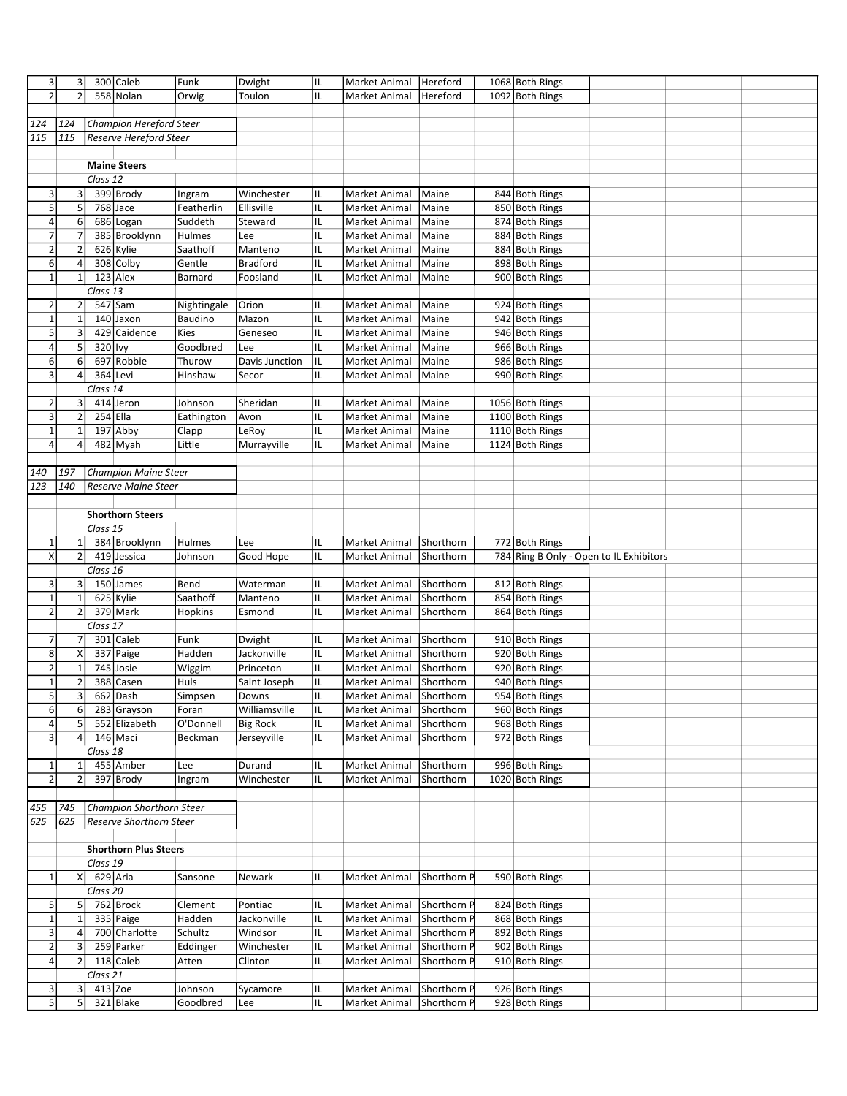| 3                         | 3                |            | 300 Caleb                       | Funk                | Dwight          | IL       | Market Animal                  | Hereford                   | 1068 Both Rings                         |  |  |
|---------------------------|------------------|------------|---------------------------------|---------------------|-----------------|----------|--------------------------------|----------------------------|-----------------------------------------|--|--|
| $\overline{2}$            | $\overline{2}$   |            | 558 Nolan                       | Orwig               | Toulon          | IL       | <b>Market Animal</b>           | Hereford                   | 1092 Both Rings                         |  |  |
|                           |                  |            |                                 |                     |                 |          |                                |                            |                                         |  |  |
| 124                       | 124              |            | Champion Hereford Steer         |                     |                 |          |                                |                            |                                         |  |  |
| 115                       | 115              |            | <b>Reserve Hereford Steer</b>   |                     |                 |          |                                |                            |                                         |  |  |
|                           |                  |            |                                 |                     |                 |          |                                |                            |                                         |  |  |
|                           |                  |            | <b>Maine Steers</b>             |                     |                 |          |                                |                            |                                         |  |  |
|                           |                  | Class 12   |                                 |                     |                 |          |                                |                            |                                         |  |  |
| 3                         | 3                |            | 399 Brody                       | Ingram              | Winchester      | IL       | Market Animal                  | Maine                      | 844 Both Rings                          |  |  |
| $\overline{5}$            | 5                |            | 768 Jace                        | Featherlin          | Ellisville      | IL       | Market Animal                  | Maine                      | 850 Both Rings                          |  |  |
| 4                         | 6                |            | 686 Logan                       | Suddeth             | Steward         | IL       | Market Animal                  | Maine                      | 874 Both Rings                          |  |  |
| $\overline{7}$            | 7                |            | 385 Brooklynn                   | Hulmes              | Lee             | IL       | Market Animal                  | Maine                      | 884 Both Rings                          |  |  |
| $\mathbf 2$               | $\overline{2}$   |            | 626 Kylie                       | Saathoff            | Manteno         | IL       | Market Animal                  | Maine                      | 884 Both Rings                          |  |  |
| 6                         | 4                |            | 308 Colby                       | Gentle              | <b>Bradford</b> | IL       | Market Animal                  | Maine                      | 898 Both Rings                          |  |  |
| $\mathbf 1$               | $\mathbf{1}$     |            | 123 Alex                        | Barnard             | Foosland        | IL       | Market Animal                  | Maine                      | 900 Both Rings                          |  |  |
|                           |                  | Class $13$ |                                 |                     |                 |          |                                |                            |                                         |  |  |
| $\overline{2}$            | 2                |            | 547 Sam                         | Nightingale         | Orion           | IL       | Market Animal                  | Maine                      | 924 Both Rings                          |  |  |
| $\mathbf 1$               | $\mathbf 1$      |            | 140 Jaxon                       | Baudino             | Mazon           | IL       | Market Animal                  | Maine                      | 942 Both Rings                          |  |  |
| 5                         | 3                |            | 429 Caidence                    | Kies                | Geneseo         | IL       | Market Animal                  | Maine                      | 946 Both Rings                          |  |  |
| 4                         | 5                | 320 lvy    |                                 | Goodbred            | Lee             | IL       | Market Animal                  | Maine                      | 966 Both Rings                          |  |  |
| 6                         | 6                |            | 697 Robbie                      | Thurow              | Davis Junction  | IL       | Market Animal                  | Maine                      | 986 Both Rings                          |  |  |
| $\mathsf 3$               | 4                |            | 364 Levi                        | Hinshaw             | Secor           | IL       | Market Animal                  | Maine                      | 990 Both Rings                          |  |  |
|                           |                  | Class 14   |                                 |                     |                 |          |                                |                            |                                         |  |  |
| $\overline{2}$            | 3                |            | 414 Jeron                       | Johnson             | Sheridan        | IL       | Market Animal                  | Maine                      | 1056 Both Rings                         |  |  |
| $\mathsf 3$               | 2                |            | $254$ Ella                      | Eathington          | Avon            | IL       | Market Animal                  | Maine                      | 1100 Both Rings                         |  |  |
| $\mathbf 1$               | $\mathbf{1}$     |            | 197 Abby                        | Clapp               | LeRoy           | IL       | Market Animal                  | Maine                      | 1110 Both Rings                         |  |  |
| 4                         | $\overline{4}$   |            | 482 Myah                        | Little              | Murrayville     | IL       | <b>Market Animal</b>           | Maine                      | 1124 Both Rings                         |  |  |
|                           |                  |            |                                 |                     |                 |          |                                |                            |                                         |  |  |
| 140                       | 197              |            | <b>Champion Maine Steer</b>     |                     |                 |          |                                |                            |                                         |  |  |
| 123                       | 140              |            | <b>Reserve Maine Steer</b>      |                     |                 |          |                                |                            |                                         |  |  |
|                           |                  |            |                                 |                     |                 |          |                                |                            |                                         |  |  |
|                           |                  |            | <b>Shorthorn Steers</b>         |                     |                 |          |                                |                            |                                         |  |  |
|                           |                  | Class 15   |                                 |                     |                 |          |                                |                            |                                         |  |  |
|                           |                  |            |                                 | Hulmes              |                 |          | <b>Market Animal</b>           | Shorthorn                  | 772 Both Rings                          |  |  |
| $\mathbf 1$               | 1                |            | 384 Brooklynn                   |                     | Lee             | IL       |                                |                            |                                         |  |  |
|                           |                  |            |                                 |                     |                 |          |                                |                            |                                         |  |  |
| X                         | $\overline{2}$   |            | 419 Jessica                     | Johnson             | Good Hope       | IL       | Market Animal                  | Shorthorn                  | 784 Ring B Only - Open to IL Exhibitors |  |  |
|                           |                  | Class 16   |                                 |                     |                 |          |                                |                            |                                         |  |  |
| $\ensuremath{\mathsf{3}}$ | 3                |            | 150 James                       | Bend                | Waterman        | IL       | Market Animal                  | Shorthorn                  | 812 Both Rings                          |  |  |
| $\mathbf 1$               | $\mathbf 1$      |            | 625 Kylie                       | Saathoff            | Manteno         | IL       | Market Animal                  | Shorthorn                  | 854 Both Rings                          |  |  |
| $\overline{2}$            | $\overline{2}$   |            | 379 Mark                        | Hopkins             | Esmond          | IL       | Market Animal                  | Shorthorn                  | 864 Both Rings                          |  |  |
|                           |                  | Class 17   |                                 |                     |                 |          |                                |                            |                                         |  |  |
| $\overline{7}$            | 7                |            | 301 Caleb                       | Funk                | Dwight          | IL       | Market Animal                  | Shorthorn                  | 910 Both Rings                          |  |  |
| 8                         | Χ                |            | 337 Paige                       | Hadden              | Jackonville     | IL       | Market Animal                  | Shorthorn                  | 920 Both Rings                          |  |  |
| $\mathbf 2$               | $\mathbf 1$      |            | 745 Josie                       | Wiggim              | Princeton       | IL       | Market Animal                  | Shorthorn                  | 920 Both Rings                          |  |  |
| $\mathbf 1$               | $\mathbf 2$      |            | 388 Casen                       | Huls                | Saint Joseph    | IL       | Market Animal                  | Shorthorn                  | 940 Both Rings                          |  |  |
| 5                         | 3                |            | 662 Dash                        | Simpsen             | Downs           | IL       | Market Animal                  | Shorthorn                  | 954 Both Rings                          |  |  |
| $\boldsymbol{6}$          | $6 \overline{6}$ |            | 283 Grayson                     | Foran               | Williamsville   | IL       | Market Animal                  | <b>Shorthorn</b>           | 960 Both Rings                          |  |  |
| 4                         | 5                |            | 552 Elizabeth                   | O'Donnell           | <b>Big Rock</b> | IL.      | Market Animal                  | Shorthorn                  | 968 Both Rings                          |  |  |
| $\overline{3}$            | 4                |            | 146 Maci                        | Beckman             | Jerseyville     | IL       | Market Animal                  | Shorthorn                  | 972 Both Rings                          |  |  |
|                           |                  | Class 18   |                                 |                     |                 |          |                                |                            |                                         |  |  |
| $\mathbf{1}$              | 1                |            | 455 Amber                       | Lee                 | Durand          | IL       | Market Animal                  | Shorthorn                  | 996 Both Rings                          |  |  |
| $\overline{2}$            | $\overline{2}$   |            | 397 Brody                       | Ingram              | Winchester      | IL       | Market Animal                  | Shorthorn                  | 1020 Both Rings                         |  |  |
|                           |                  |            |                                 |                     |                 |          |                                |                            |                                         |  |  |
| 455                       | 745              |            | <b>Champion Shorthorn Steer</b> |                     |                 |          |                                |                            |                                         |  |  |
| 625                       | 625              |            | Reserve Shorthorn Steer         |                     |                 |          |                                |                            |                                         |  |  |
|                           |                  |            |                                 |                     |                 |          |                                |                            |                                         |  |  |
|                           |                  |            | <b>Shorthorn Plus Steers</b>    |                     |                 |          |                                |                            |                                         |  |  |
|                           |                  | Class 19   |                                 |                     |                 |          |                                |                            |                                         |  |  |
|                           |                  |            |                                 |                     |                 | IL       |                                |                            |                                         |  |  |
| $\mathbf{1}$              | X                |            | 629 Aria                        | Sansone             | Newark          |          | Market Animal                  | Shorthorn P                | 590 Both Rings                          |  |  |
|                           |                  | Class 20   |                                 |                     |                 |          |                                |                            |                                         |  |  |
| 5                         | 5                |            | 762 Brock                       | Clement             | Pontiac         | IL.      | Market Animal                  | Shorthorn P                | 824 Both Rings                          |  |  |
| $\mathbf 1$               | $\mathbf 1$      |            | 335 Paige                       | Hadden              | Jackonville     | IL       | Market Animal                  | Shorthorn P                | 868 Both Rings                          |  |  |
| $\overline{\mathbf{3}}$   | 4                |            | 700 Charlotte                   | Schultz             | Windsor         | IL.      | Market Animal                  | Shorthorn P                | 892 Both Rings                          |  |  |
| $\overline{2}$            | 3                |            | 259 Parker                      | Eddinger            | Winchester      | IL.      | Market Animal                  | Shorthorn P                | 902 Both Rings                          |  |  |
| $\overline{4}$            | $\overline{2}$   |            | 118 Caleb                       | Atten               | Clinton         | IL       | Market Animal                  | Shorthorn P                | 910 Both Rings                          |  |  |
|                           |                  | Class 21   |                                 |                     |                 |          |                                |                            |                                         |  |  |
| 3<br>$\overline{5}$       | 3<br>5           |            | 413 Zoe<br>321 Blake            | Johnson<br>Goodbred | Sycamore<br>Lee | IL<br>IL | Market Animal<br>Market Animal | Shorthorn P<br>Shorthorn P | 926 Both Rings<br>928 Both Rings        |  |  |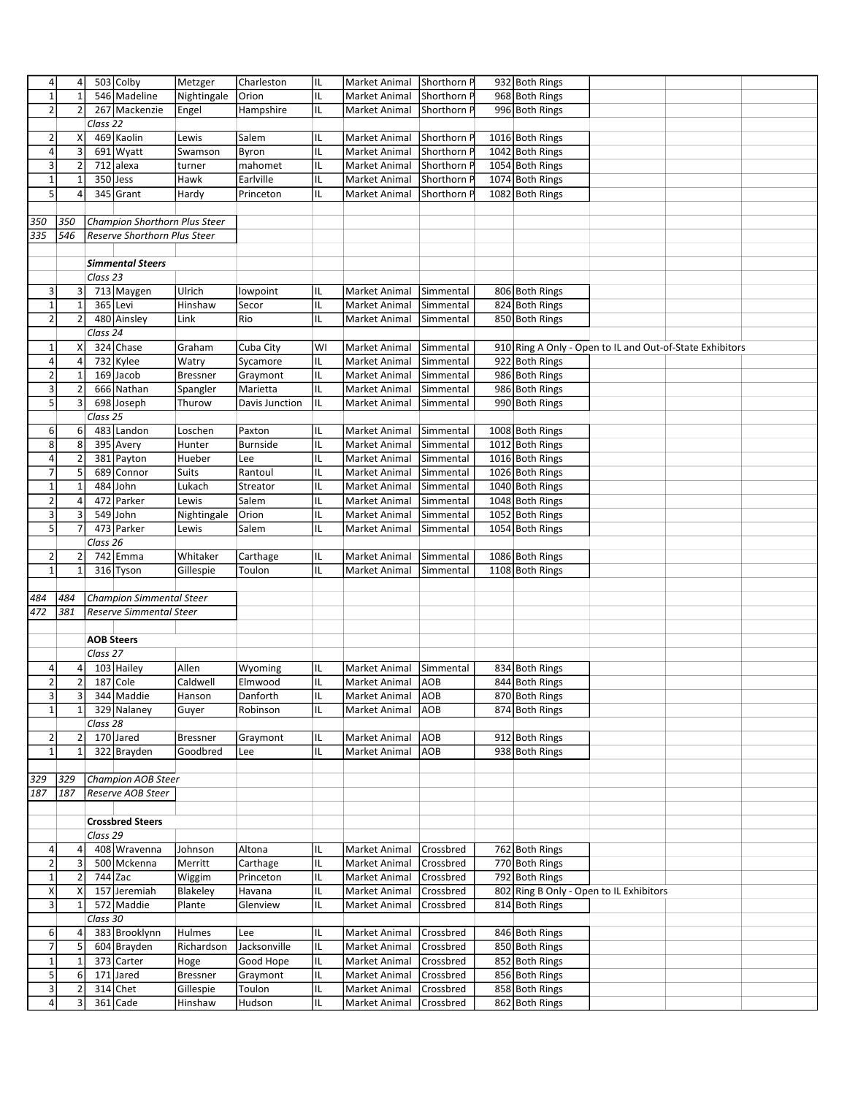| 4                         | 4                       |                     | 503 Colby                       | Metzger         | Charleston      | IL | Market Animal        | Shorthorn P | 932 Both Rings                          |                                                          |  |
|---------------------------|-------------------------|---------------------|---------------------------------|-----------------|-----------------|----|----------------------|-------------|-----------------------------------------|----------------------------------------------------------|--|
| $\mathbf 1$               | $\mathbf{1}$            |                     | 546 Madeline                    | Nightingale     | Orion           | IL | Market Animal        | Shorthorn P | 968 Both Rings                          |                                                          |  |
| $\overline{2}$            | $\overline{2}$          |                     | 267 Mackenzie                   | Engel           | Hampshire       | IL | Market Animal        | Shorthorn P | 996 Both Rings                          |                                                          |  |
|                           |                         | Class 22            |                                 |                 |                 |    |                      |             |                                         |                                                          |  |
|                           |                         |                     |                                 |                 |                 |    |                      |             |                                         |                                                          |  |
| $\overline{2}$            | Χ                       |                     | 469 Kaolin                      | Lewis           | Salem           | IL | Market Animal        | Shorthorn P | 1016 Both Rings                         |                                                          |  |
| $\sqrt{4}$                | υ                       |                     | 691 Wyatt                       | Swamson         | Byron           | IL | Market Animal        | Shorthorn F | 1042 Both Rings                         |                                                          |  |
| 3                         | $\overline{2}$          |                     | 712 alexa                       | turner          | mahomet         | IL | Market Animal        | Shorthorn F | 1054 Both Rings                         |                                                          |  |
| $1\,$                     | $\mathbf{1}$            |                     | $350$ Jess                      | Hawk            | Earlville       | IL | Market Animal        | Shorthorn F | 1074 Both Rings                         |                                                          |  |
| $5\overline{)}$           |                         |                     |                                 |                 |                 |    |                      |             |                                         |                                                          |  |
|                           | 4                       |                     | 345 Grant                       | Hardy           | Princeton       | IL | Market Animal        | Shorthorn F | 1082 Both Rings                         |                                                          |  |
|                           |                         |                     |                                 |                 |                 |    |                      |             |                                         |                                                          |  |
| 350                       | 350                     |                     | Champion Shorthorn Plus Steer   |                 |                 |    |                      |             |                                         |                                                          |  |
| 335                       | 546                     |                     | Reserve Shorthorn Plus Steer    |                 |                 |    |                      |             |                                         |                                                          |  |
|                           |                         |                     |                                 |                 |                 |    |                      |             |                                         |                                                          |  |
|                           |                         |                     | <b>Simmental Steers</b>         |                 |                 |    |                      |             |                                         |                                                          |  |
|                           |                         |                     |                                 |                 |                 |    |                      |             |                                         |                                                          |  |
|                           |                         | Class 23            |                                 |                 |                 |    |                      |             |                                         |                                                          |  |
| 3                         | 3                       |                     | 713 Maygen                      | Ulrich          | lowpoint        | IL | Market Animal        | Simmental   | 806 Both Rings                          |                                                          |  |
| $1\,$                     | $\mathbf 1$             |                     | 365 Levi                        | Hinshaw         | Secor           | IL | Market Animal        | Simmental   | 824 Both Rings                          |                                                          |  |
| $\mathbf 2$               | $\overline{2}$          |                     | 480 Ainsley                     | Link            | Rio             | IL | Market Animal        | Simmental   | 850 Both Rings                          |                                                          |  |
|                           |                         | Class 24            |                                 |                 |                 |    |                      |             |                                         |                                                          |  |
|                           |                         |                     |                                 |                 |                 |    |                      |             |                                         |                                                          |  |
| $\mathbf{1}$              | Χ                       |                     | 324 Chase                       | Graham          | Cuba City       | WI | Market Animal        | Simmental   |                                         | 910 Ring A Only - Open to IL and Out-of-State Exhibitors |  |
| 4                         | 4                       |                     | 732 Kylee                       | Watry           | Sycamore        | IL | Market Animal        | Simmental   | 922 Both Rings                          |                                                          |  |
| $\mathbf 2$               | $\mathbf 1$             |                     | 169 Jacob                       | <b>Bressner</b> | Graymont        | IL | Market Animal        | Simmental   | 986 Both Rings                          |                                                          |  |
| 3                         | $\overline{2}$          |                     | 666 Nathan                      | Spangler        | Marietta        | IL | Market Animal        | Simmental   | 986 Both Rings                          |                                                          |  |
| 5                         | $\overline{\mathbf{3}}$ |                     | 698 Joseph                      | Thurow          | Davis Junction  | IL | Market Animal        | Simmental   | 990 Both Rings                          |                                                          |  |
|                           |                         | Class 25            |                                 |                 |                 |    |                      |             |                                         |                                                          |  |
|                           |                         |                     |                                 |                 |                 |    |                      |             |                                         |                                                          |  |
| 6                         | 6                       |                     | 483 Landon                      | Loschen         | Paxton          | IL | <b>Market Animal</b> | Simmental   | 1008 Both Rings                         |                                                          |  |
| 8                         | $\bf 8$                 |                     | 395 Avery                       | Hunter          | <b>Burnside</b> | IL | Market Animal        | Simmental   | 1012 Both Rings                         |                                                          |  |
| $\sqrt{4}$                | $\overline{2}$          |                     | 381 Payton                      | Hueber          | Lee             | IL | Market Animal        | Simmental   | 1016 Both Rings                         |                                                          |  |
| $\overline{7}$            | 5                       |                     | 689 Connor                      | Suits           | Rantoul         | IL | Market Animal        | Simmental   | 1026 Both Rings                         |                                                          |  |
|                           |                         |                     |                                 |                 |                 |    |                      |             |                                         |                                                          |  |
| $\mathbf 1$               | $\mathbf 1$             | 484                 | John                            | Lukach          | Streator        | IL | Market Animal        | Simmental   | 1040 Both Rings                         |                                                          |  |
| $\mathbf 2$               | $\pmb{4}$               | 472                 | Parker                          | Lewis           | Salem           | IL | Market Animal        | Simmental   | 1048 Both Rings                         |                                                          |  |
| 3                         | 3                       |                     | 549 John                        | Nightingale     | Orion           | IL | Market Animal        | Simmental   | 1052 Both Rings                         |                                                          |  |
| $5\overline{)}$           | $\overline{7}$          |                     | 473 Parker                      | Lewis           | Salem           | IL | Market Animal        | Simmental   | 1054 Both Rings                         |                                                          |  |
|                           |                         | Class 26            |                                 |                 |                 |    |                      |             |                                         |                                                          |  |
|                           |                         |                     | 742 Emma                        | Whitaker        |                 |    |                      |             |                                         |                                                          |  |
| $\overline{2}$            | $\overline{2}$          |                     |                                 |                 | Carthage        | IL | Market Animal        | Simmental   | 1086 Both Rings                         |                                                          |  |
|                           |                         |                     |                                 |                 |                 |    |                      |             |                                         |                                                          |  |
| $\mathbf{1}$              | $\mathbf{1}$            |                     | 316 Tyson                       | Gillespie       | Toulon          | IL | Market Animal        | Simmental   | 1108 Both Rings                         |                                                          |  |
|                           |                         |                     |                                 |                 |                 |    |                      |             |                                         |                                                          |  |
| 484                       | 484                     |                     | <b>Champion Simmental Steer</b> |                 |                 |    |                      |             |                                         |                                                          |  |
|                           |                         |                     |                                 |                 |                 |    |                      |             |                                         |                                                          |  |
| 472                       | 381                     |                     | Reserve Simmental Steer         |                 |                 |    |                      |             |                                         |                                                          |  |
|                           |                         |                     |                                 |                 |                 |    |                      |             |                                         |                                                          |  |
|                           |                         |                     | <b>AOB Steers</b>               |                 |                 |    |                      |             |                                         |                                                          |  |
|                           |                         | Class 27            |                                 |                 |                 |    |                      |             |                                         |                                                          |  |
| 4                         | 4                       |                     | 103 Hailey                      | Allen           | Wyoming         | IL | <b>Market Animal</b> | Simmental   | 834 Both Rings                          |                                                          |  |
| $\overline{2}$            | $\mathbf{2}$            |                     | 187 Cole                        | Caldwell        | Elmwood         | IL | Market Animal        | <b>AOB</b>  | 844 Both Rings                          |                                                          |  |
|                           |                         |                     |                                 |                 |                 |    |                      |             |                                         |                                                          |  |
| $\mathbf{3}$              | 3                       |                     | 344 Maddie                      | Hanson          | Danforth        | IL | Market Animal        | AOB         | 870 Both Rings                          |                                                          |  |
| $\mathbf 1$               | $\mathbf{1}$            |                     | 329 Nalaney                     | Guyer           | Robinson        | IL | Market Animal        | <b>AOB</b>  | 874 Both Rings                          |                                                          |  |
|                           |                         | Class <sub>28</sub> |                                 |                 |                 |    |                      |             |                                         |                                                          |  |
| $\overline{2}$            | $\overline{2}$          |                     | 170 Jared                       | <b>Bressner</b> | Graymont        | IL | Market Animal        | <b>AOB</b>  | 912 Both Rings                          |                                                          |  |
| $\mathbf 1$               | $\mathbf{1}$            |                     | 322 Brayden                     | Goodbred        | Lee             | IL | Market Animal        | <b>AOB</b>  | 938 Both Rings                          |                                                          |  |
|                           |                         |                     |                                 |                 |                 |    |                      |             |                                         |                                                          |  |
|                           |                         |                     |                                 |                 |                 |    |                      |             |                                         |                                                          |  |
| 329                       | 329                     |                     | Champion AOB Steer              |                 |                 |    |                      |             |                                         |                                                          |  |
| 187                       | 187                     |                     | Reserve AOB Steer               |                 |                 |    |                      |             |                                         |                                                          |  |
|                           |                         |                     |                                 |                 |                 |    |                      |             |                                         |                                                          |  |
|                           |                         |                     | <b>Crossbred Steers</b>         |                 |                 |    |                      |             |                                         |                                                          |  |
|                           |                         | Class 29            |                                 |                 |                 |    |                      |             |                                         |                                                          |  |
|                           |                         |                     |                                 |                 | Altona          | IL |                      |             |                                         |                                                          |  |
| $\sqrt{4}$                | 4                       |                     | 408 Wravenna                    | Johnson         |                 |    | Market Animal        | Crossbred   | 762 Both Rings                          |                                                          |  |
| $\mathbf 2$               | 3                       |                     | 500 Mckenna                     | Merritt         | Carthage        | IL | Market Animal        | Crossbred   | 770 Both Rings                          |                                                          |  |
| $\mathbf 1$               | $\overline{2}$          |                     | 744 Zac                         | Wiggim          | Princeton       | IL | Market Animal        | Crossbred   | 792 Both Rings                          |                                                          |  |
| $\pmb{\mathsf{X}}$        | X                       |                     | 157 Jeremiah                    | Blakeley        | Havana          | IL | Market Animal        | Crossbred   | 802 Ring B Only - Open to IL Exhibitors |                                                          |  |
| $\ensuremath{\mathsf{3}}$ | $\mathbf{1}$            |                     | 572 Maddie                      | Plante          | Glenview        | IL | Market Animal        | Crossbred   | 814 Both Rings                          |                                                          |  |
|                           |                         |                     |                                 |                 |                 |    |                      |             |                                         |                                                          |  |
|                           |                         | Class 30            |                                 |                 |                 |    |                      |             |                                         |                                                          |  |
| 6                         | 4                       |                     | 383 Brooklynn                   | Hulmes          | Lee             | IL | Market Animal        | Crossbred   | 846 Both Rings                          |                                                          |  |
| $\overline{7}$            | $5\overline{)}$         |                     | 604 Brayden                     | Richardson      | Jacksonville    | IL | Market Animal        | Crossbred   | 850 Both Rings                          |                                                          |  |
| $\mathbf 1$               | $\mathbf{1}$            |                     | 373 Carter                      | Hoge            | Good Hope       | IL | Market Animal        | Crossbred   | 852 Both Rings                          |                                                          |  |
| $\sf 5$                   | 6                       |                     | 171 Jared                       | <b>Bressner</b> | Graymont        | IL | Market Animal        | Crossbred   | 856 Both Rings                          |                                                          |  |
| $\mathbf{3}$              | $\overline{2}$          |                     | 314 Chet                        | Gillespie       | Toulon          | IL | Market Animal        | Crossbred   | 858 Both Rings                          |                                                          |  |
| $\pmb{4}$                 | $\mathbf{3}$            |                     | 361 Cade                        | Hinshaw         | Hudson          | IL | Market Animal        | Crossbred   | 862 Both Rings                          |                                                          |  |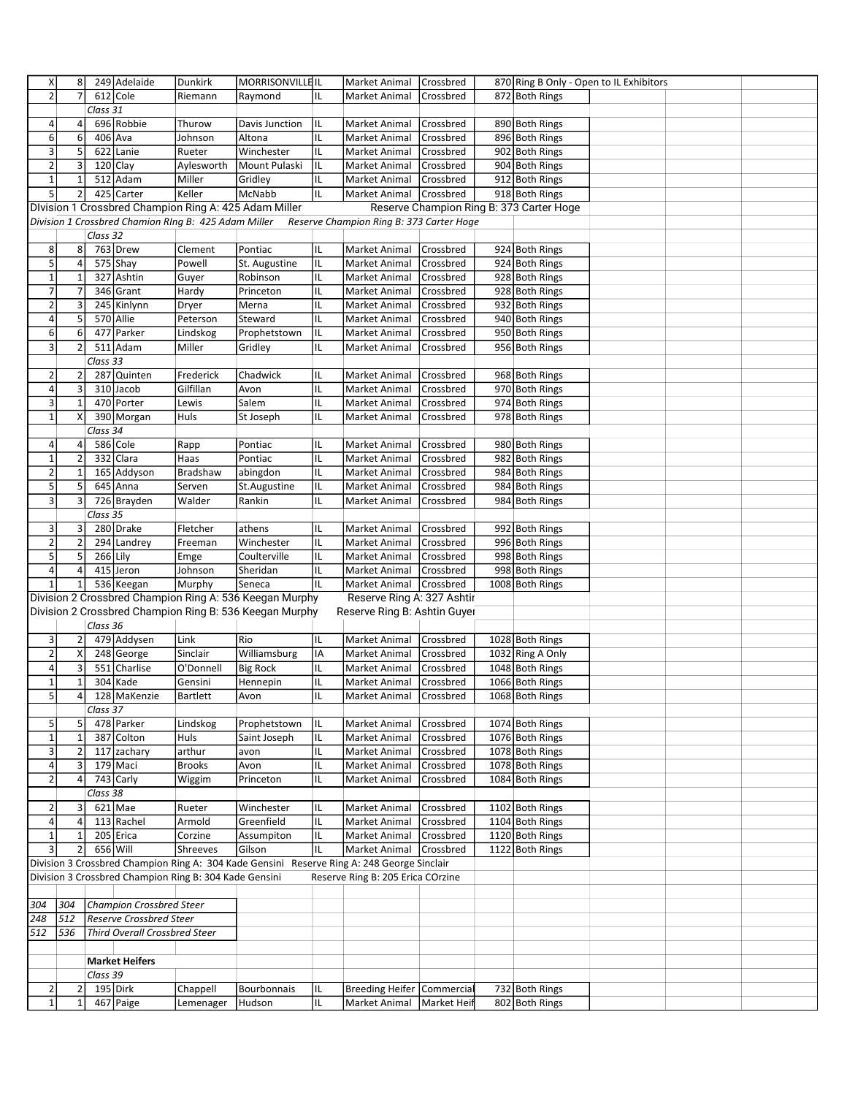| X                       | 8              |          | 249 Adelaide                                           | <b>Dunkirk</b> | MORRISONVILLEIL                                                                            |     | Market Animal                            | <b>Crossbred</b> |                                          | 870 Ring B Only - Open to IL Exhibitors |  |
|-------------------------|----------------|----------|--------------------------------------------------------|----------------|--------------------------------------------------------------------------------------------|-----|------------------------------------------|------------------|------------------------------------------|-----------------------------------------|--|
| $\overline{2}$          | $\overline{7}$ |          | 612 Cole                                               | Riemann        | Raymond                                                                                    | IL  | Market Animal                            | Crossbred        | 872 Both Rings                           |                                         |  |
|                         |                | Class 31 |                                                        |                |                                                                                            |     |                                          |                  |                                          |                                         |  |
| 4                       | 4              |          | 696 Robbie                                             | Thurow         | Davis Junction                                                                             | IL  | Market Animal                            | Crossbred        | 890 Both Rings                           |                                         |  |
| 6                       | 6              |          | 406 Ava                                                | Johnson        | Altona                                                                                     | IL  | Market Animal                            | Crossbred        | 896 Both Rings                           |                                         |  |
| 3                       | 5              |          | 622 Lanie                                              | Rueter         | Winchester                                                                                 | IL  |                                          |                  |                                          |                                         |  |
|                         |                |          |                                                        |                |                                                                                            |     | Market Animal                            | Crossbred        | 902 Both Rings                           |                                         |  |
| $\mathbf 2$             | 3              |          | $120$ Clay                                             | Aylesworth     | Mount Pulaski                                                                              | IL  | Market Animal                            | Crossbred        | 904 Both Rings                           |                                         |  |
| $\mathbf 1$             | $\mathbf{1}$   |          | 512 Adam                                               | Miller         | Gridley                                                                                    | IL. | Market Animal                            | Crossbred        | 912 Both Rings                           |                                         |  |
| $\overline{5}$          | $\overline{2}$ |          | 425 Carter                                             | Keller         | McNabb                                                                                     | IL. | Market Animal                            | <b>Crossbred</b> | 918 Both Rings                           |                                         |  |
|                         |                |          |                                                        |                | Division 1 Crossbred Champion Ring A: 425 Adam Miller                                      |     |                                          |                  | Reserve Champion Ring B: 373 Carter Hoge |                                         |  |
|                         |                |          | Division 1 Crossbred Chamion RIng B: 425 Adam Miller   |                |                                                                                            |     | Reserve Champion Ring B: 373 Carter Hoge |                  |                                          |                                         |  |
|                         |                | Class 32 |                                                        |                |                                                                                            |     |                                          |                  |                                          |                                         |  |
| 8                       | 8              |          | 763 Drew                                               | Clement        | Pontiac                                                                                    | IL  | Market Animal                            | Crossbred        | 924 Both Rings                           |                                         |  |
| $\overline{5}$          | $\pmb{4}$      |          | 575 Shay                                               | Powell         | St. Augustine                                                                              | IL. | Market Animal                            | Crossbred        | 924 Both Rings                           |                                         |  |
| $\mathbf 1$             | $\mathbf 1$    |          | 327 Ashtin                                             | Guyer          | Robinson                                                                                   | IL  | Market Animal                            | Crossbred        | 928 Both Rings                           |                                         |  |
| $\overline{7}$          | 7              |          | 346 Grant                                              | Hardy          | Princeton                                                                                  | IL  | Market Animal                            | Crossbred        | 928 Both Rings                           |                                         |  |
| $\mathbf 2$             | 3              | 245      | Kinlynn                                                | Dryer          | Merna                                                                                      | IL. | Market Animal                            | Crossbred        | 932 Both Rings                           |                                         |  |
| 4                       | 5              |          | 570 Allie                                              | Peterson       | Steward                                                                                    | IL  | Market Animal                            | Crossbred        | 940 Both Rings                           |                                         |  |
| 6                       | 6              | 477      | Parker                                                 | Lindskog       | Prophetstown                                                                               | IL  | Market Animal                            | Crossbred        | 950 Both Rings                           |                                         |  |
| $\mathsf 3$             | $\overline{2}$ |          | 511 Adam                                               | Miller         | Gridley                                                                                    | IL  | Market Animal                            | Crossbred        | 956 Both Rings                           |                                         |  |
|                         |                | Class 33 |                                                        |                |                                                                                            |     |                                          |                  |                                          |                                         |  |
| $\mathbf 2$             | 2              | 287      | Quinten                                                | Frederick      | Chadwick                                                                                   | IL  | Market Animal                            | Crossbred        | 968 Both Rings                           |                                         |  |
| $\sqrt{4}$              | 3              |          | 310 Jacob                                              | Gilfillan      | Avon                                                                                       | IL  | Market Animal                            | Crossbred        | 970 Both Rings                           |                                         |  |
|                         |                |          |                                                        |                |                                                                                            |     |                                          |                  |                                          |                                         |  |
| 3                       | $\mathbf{1}$   |          | 470 Porter                                             | Lewis          | Salem                                                                                      | IL  | Market Animal                            | Crossbred        | 974 Both Rings                           |                                         |  |
| $\mathbf 1$             | X              |          | 390 Morgan                                             | Huls           | St Joseph                                                                                  | IL  | Market Animal                            | Crossbred        | 978 Both Rings                           |                                         |  |
|                         |                | Class 34 |                                                        |                |                                                                                            |     |                                          |                  |                                          |                                         |  |
| 4                       | 4              |          | 586 Cole                                               | Rapp           | Pontiac                                                                                    | IL  | Market Animal                            | Crossbred        | 980 Both Rings                           |                                         |  |
| $\mathbf 1$             | $\mathbf 2$    |          | 332 Clara                                              | Haas           | Pontiac                                                                                    | IL  | Market Animal                            | Crossbred        | 982 Both Rings                           |                                         |  |
| $\mathbf 2$             | 1              |          | 165 Addyson                                            | Bradshaw       | abingdon                                                                                   | IL  | Market Animal                            | Crossbred        | 984 Both Rings                           |                                         |  |
| 5                       | 5              |          | 645 Anna                                               | Serven         | St.Augustine                                                                               | IL  | Market Animal                            | Crossbred        | 984 Both Rings                           |                                         |  |
| 3                       | $\overline{3}$ |          | 726 Brayden                                            | Walder         | Rankin                                                                                     | IL  | Market Animal                            | Crossbred        | 984 Both Rings                           |                                         |  |
|                         |                | Class 35 |                                                        |                |                                                                                            |     |                                          |                  |                                          |                                         |  |
| 3                       | 3              |          | 280 Drake                                              | Fletcher       | athens                                                                                     | IL  | Market Animal                            | Crossbred        | 992 Both Rings                           |                                         |  |
| $\mathbf 2$             | $\mathbf 2$    |          | 294 Landrey                                            | Freeman        | Winchester                                                                                 | IL  | Market Animal                            | Crossbred        | 996 Both Rings                           |                                         |  |
| $\overline{5}$          | 5              |          | 266 Lily                                               | Emge           | Coulterville                                                                               | IL. | Market Animal                            | Crossbred        | 998 Both Rings                           |                                         |  |
| $\sqrt{4}$              | 4              |          | 415 Jeron                                              | Johnson        | Sheridan                                                                                   | IL. | Market Animal                            | Crossbred        | 998 Both Rings                           |                                         |  |
| $\mathbf 1$             | $\mathbf{1}$   |          | 536 Keegan                                             | Murphy         | Seneca                                                                                     | IL  | Market Animal                            | Crossbred        | 1008 Both Rings                          |                                         |  |
|                         |                |          |                                                        |                | Division 2 Crossbred Champion Ring A: 536 Keegan Murphy                                    |     | Reserve Ring A: 327 Ashtir               |                  |                                          |                                         |  |
|                         |                |          |                                                        |                | Division 2 Crossbred Champion Ring B: 536 Keegan Murphy                                    |     | Reserve Ring B: Ashtin Guyer             |                  |                                          |                                         |  |
|                         |                | Class 36 |                                                        |                |                                                                                            |     |                                          |                  |                                          |                                         |  |
|                         |                |          |                                                        |                |                                                                                            |     |                                          |                  | 1028 Both Rings                          |                                         |  |
| 3                       | 2              |          | 479 Addysen                                            | Link           | Rio                                                                                        | IL  | Market Animal                            | Crossbred        |                                          |                                         |  |
| $\mathbf 2$             | Χ              |          | 248 George                                             | Sinclair       | Williamsburg                                                                               | IA  | Market Animal                            | Crossbred        | 1032 Ring A Only                         |                                         |  |
| 4                       | 3              |          | 551 Charlise                                           | O'Donnell      | <b>Big Rock</b>                                                                            | IL  | Market Animal                            | Crossbred        | 1048 Both Rings                          |                                         |  |
| $\mathbf 1$             | $\mathbf{1}$   |          | 304 Kade                                               | Gensini        | Hennepin                                                                                   | IL  | Market Animal                            | Crossbred        | 1066 Both Rings                          |                                         |  |
| $\mathbf{5}$            | 4              |          | 128 MaKenzie                                           | Bartlett       | Avon                                                                                       | IL  | Market Animal [Crossbred                 |                  | 1068 Both Rings                          |                                         |  |
|                         |                | Class 37 |                                                        |                |                                                                                            |     |                                          |                  |                                          |                                         |  |
| 5                       | 5              |          | 478 Parker                                             | Lindskog       | Prophetstown                                                                               | IL. | Market Animal                            | Crossbred        | 1074 Both Rings                          |                                         |  |
| $\overline{1}$          | $\mathbf 1$    |          | 387 Colton                                             | Huls           | Saint Joseph                                                                               | IL. | Market Animal                            | Crossbred        | 1076 Both Rings                          |                                         |  |
| $\mathsf 3$             | $\overline{2}$ |          | 117 zachary                                            | arthur         | avon                                                                                       | IL  | Market Animal                            | Crossbred        | 1078 Both Rings                          |                                         |  |
| $\sqrt{4}$              | 3              |          | 179 Maci                                               | <b>Brooks</b>  | Avon                                                                                       | IL. | Market Animal                            | Crossbred        | 1078 Both Rings                          |                                         |  |
| $\mathbf 2$             | 4              |          | 743 Carly                                              | Wiggim         | Princeton                                                                                  | IL  | Market Animal                            | Crossbred        | 1084 Both Rings                          |                                         |  |
|                         |                | Class 38 |                                                        |                |                                                                                            |     |                                          |                  |                                          |                                         |  |
| $\overline{2}$          | 3              |          | $621$ Mae                                              | Rueter         | Winchester                                                                                 | IL. | Market Animal                            | Crossbred        | 1102 Both Rings                          |                                         |  |
| 4                       | 4              |          | 113 Rachel                                             | Armold         | Greenfield                                                                                 | IL  | Market Animal                            | <b>Crossbred</b> | 1104 Both Rings                          |                                         |  |
| $\mathbf 1$             | $\mathbf{1}$   |          | 205 Erica                                              | Corzine        |                                                                                            | IL. |                                          | <b>Crossbred</b> | 1120 Both Rings                          |                                         |  |
|                         |                |          |                                                        | Shreeves       | Assumpiton                                                                                 |     | Market Animal                            |                  |                                          |                                         |  |
| $\overline{3}$          | $\overline{2}$ |          | 656 Will                                               |                | Gilson                                                                                     | IL. | Market Animal Crossbred                  |                  | 1122 Both Rings                          |                                         |  |
|                         |                |          |                                                        |                | Division 3 Crossbred Champion Ring A: 304 Kade Gensini Reserve Ring A: 248 George Sinclair |     |                                          |                  |                                          |                                         |  |
|                         |                |          | Division 3 Crossbred Champion Ring B: 304 Kade Gensini |                |                                                                                            |     | Reserve Ring B: 205 Erica COrzine        |                  |                                          |                                         |  |
|                         |                |          |                                                        |                |                                                                                            |     |                                          |                  |                                          |                                         |  |
| 304                     | 304            |          | <b>Champion Crossbred Steer</b>                        |                |                                                                                            |     |                                          |                  |                                          |                                         |  |
| 248                     | 512            |          | <b>Reserve Crossbred Steer</b>                         |                |                                                                                            |     |                                          |                  |                                          |                                         |  |
| 512                     | 536            |          | Third Overall Crossbred Steer                          |                |                                                                                            |     |                                          |                  |                                          |                                         |  |
|                         |                |          |                                                        |                |                                                                                            |     |                                          |                  |                                          |                                         |  |
|                         |                |          | <b>Market Heifers</b>                                  |                |                                                                                            |     |                                          |                  |                                          |                                         |  |
|                         |                | Class 39 |                                                        |                |                                                                                            |     |                                          |                  |                                          |                                         |  |
| $\overline{\mathbf{c}}$ | 2              |          | 195 Dirk                                               | Chappell       | Bourbonnais                                                                                | IL  | Breeding Heifer Commercial               |                  | 732 Both Rings                           |                                         |  |
| $\mathbf{1}$            | $\mathbf{1}$   |          | 467 Paige                                              | Lemenager      | Hudson                                                                                     | IL. | Market Animal                            | Market Heif      | 802 Both Rings                           |                                         |  |
|                         |                |          |                                                        |                |                                                                                            |     |                                          |                  |                                          |                                         |  |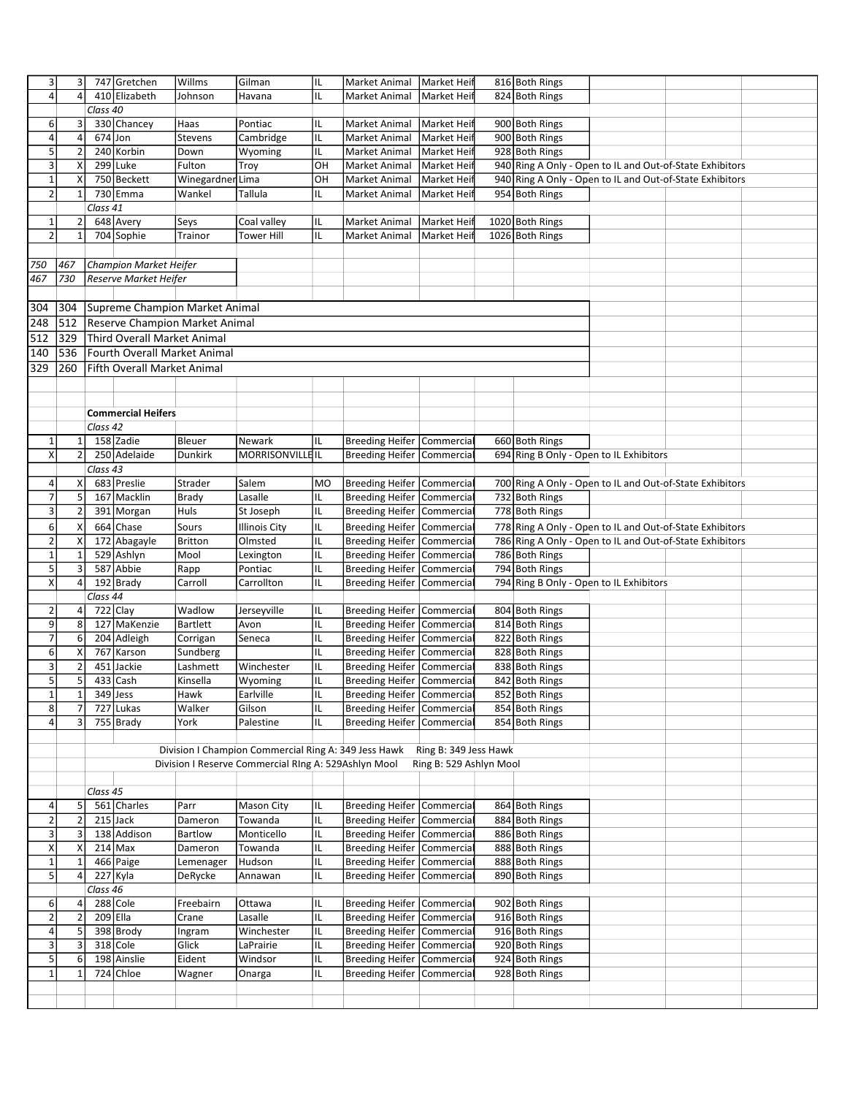| 3                         | $\vert$ 3      |            | 747 Gretchen                 | Willms                                | Gilman                                               | IL                      | Market Animal                    | Market Heif             | 816 Both Rings                          |                                                          |  |
|---------------------------|----------------|------------|------------------------------|---------------------------------------|------------------------------------------------------|-------------------------|----------------------------------|-------------------------|-----------------------------------------|----------------------------------------------------------|--|
| $\overline{4}$            | $\overline{4}$ |            | 410 Elizabeth                | Johnson                               | Havana                                               | IL                      | Market Animal                    | Market Heif             | 824 Both Rings                          |                                                          |  |
|                           |                | Class 40   |                              |                                       |                                                      |                         |                                  |                         |                                         |                                                          |  |
| 6                         | 3              |            | 330 Chancey                  | Haas                                  | Pontiac                                              | IL                      | Market Animal                    | Market Heif             | 900 Both Rings                          |                                                          |  |
| 4                         | 4              |            | $674$ Jon                    | Stevens                               | Cambridge                                            | IL                      | Market Animal                    | Market Heif             | 900 Both Rings                          |                                                          |  |
| 5                         | $\overline{2}$ |            | 240 Korbin                   | Down                                  | Wyoming                                              | IL                      | Market Animal                    | <b>Market Heif</b>      | 928 Both Rings                          |                                                          |  |
| $\ensuremath{\mathsf{3}}$ | Χ              |            | 299 Luke                     | Fulton                                | Troy                                                 | OH                      | Market Animal                    | Market Hei              |                                         | 940 Ring A Only - Open to IL and Out-of-State Exhibitors |  |
| $\mathbf 1$               | X              |            | 750 Beckett                  |                                       |                                                      | OH                      |                                  |                         |                                         | 940 Ring A Only - Open to IL and Out-of-State Exhibitors |  |
|                           | $\mathbf{1}$   |            |                              | Winegardner Lima                      |                                                      |                         | Market Animal                    | Market Heif             |                                         |                                                          |  |
| $\mathbf 2$               |                |            | 730 Emma                     | Wankel                                | Tallula                                              | IL                      | Market Animal                    | Market Heif             | 954 Both Rings                          |                                                          |  |
|                           |                | Class 41   |                              |                                       |                                                      |                         |                                  |                         |                                         |                                                          |  |
| $\mathbf 1$               | $\overline{2}$ |            | 648 Avery                    | Seys                                  | Coal valley                                          | IL                      | Market Animal                    | Market Heif             | 1020 Both Rings                         |                                                          |  |
| $\overline{2}$            | $\mathbf 1$    |            | 704 Sophie                   | Trainor                               | <b>Tower Hill</b>                                    | IL                      | Market Animal                    | Market Heif             | 1026 Both Rings                         |                                                          |  |
|                           |                |            |                              |                                       |                                                      |                         |                                  |                         |                                         |                                                          |  |
| 750                       | 467            |            | Champion Market Heifer       |                                       |                                                      |                         |                                  |                         |                                         |                                                          |  |
| 467                       | 730            |            | <b>Reserve Market Heifer</b> |                                       |                                                      |                         |                                  |                         |                                         |                                                          |  |
|                           |                |            |                              |                                       |                                                      |                         |                                  |                         |                                         |                                                          |  |
| 304                       | 304            |            |                              | Supreme Champion Market Animal        |                                                      |                         |                                  |                         |                                         |                                                          |  |
| 248                       | 512            |            |                              | <b>Reserve Champion Market Animal</b> |                                                      |                         |                                  |                         |                                         |                                                          |  |
| 512                       | 329            |            | Third Overall Market Animal  |                                       |                                                      |                         |                                  |                         |                                         |                                                          |  |
| 140                       | 536            |            | Fourth Overall Market Animal |                                       |                                                      |                         |                                  |                         |                                         |                                                          |  |
|                           |                |            |                              |                                       |                                                      |                         |                                  |                         |                                         |                                                          |  |
| 329                       | 260            |            | Fifth Overall Market Animal  |                                       |                                                      |                         |                                  |                         |                                         |                                                          |  |
|                           |                |            |                              |                                       |                                                      |                         |                                  |                         |                                         |                                                          |  |
|                           |                |            |                              |                                       |                                                      |                         |                                  |                         |                                         |                                                          |  |
|                           |                |            | <b>Commercial Heifers</b>    |                                       |                                                      |                         |                                  |                         |                                         |                                                          |  |
|                           |                | Class 42   |                              |                                       |                                                      |                         |                                  |                         |                                         |                                                          |  |
| $\mathbf 1$               | $\mathbf{1}$   |            | 158 Zadie                    | Bleuer                                | Newark                                               | IL                      | Breeding Heifer Commercial       |                         | 660 Both Rings                          |                                                          |  |
| X                         | $\overline{2}$ |            | 250 Adelaide                 | <b>Dunkirk</b>                        | <b>MORRISONVILLEIL</b>                               |                         | Breeding Heifer Commercial       |                         | 694 Ring B Only - Open to IL Exhibitors |                                                          |  |
|                           |                | Class $43$ |                              |                                       |                                                      |                         |                                  |                         |                                         |                                                          |  |
| 4                         | X              |            | 683 Preslie                  | Strader                               | Salem                                                | <b>MO</b>               | Breeding Heifer Commercial       |                         |                                         | 700 Ring A Only - Open to IL and Out-of-State Exhibitors |  |
| $\overline{7}$            | 5              |            | 167 Macklin                  | <b>Brady</b>                          | Lasalle                                              | IL.                     | Breeding Heifer Commercial       |                         | 732 Both Rings                          |                                                          |  |
| $\mathsf 3$               | $\overline{2}$ |            | 391 Morgan                   | Huls                                  | St Joseph                                            | IL                      | Breeding Heifer Commercia        |                         | 778 Both Rings                          |                                                          |  |
|                           |                |            |                              |                                       |                                                      |                         |                                  |                         |                                         |                                                          |  |
| 6                         | Χ              |            | 664 Chase                    | Sours                                 | <b>Illinois City</b>                                 | IL                      | Breeding Heifer Commercia        |                         |                                         | 778 Ring A Only - Open to IL and Out-of-State Exhibitors |  |
| $\mathbf 2$               | Χ              |            | 172 Abagayle                 | <b>Britton</b>                        | Olmsted                                              | IL                      | Breeding Heifer Commercia        |                         |                                         | 786 Ring A Only - Open to IL and Out-of-State Exhibitors |  |
| $\mathbf 1$               | $\mathbf{1}$   |            | 529 Ashlyn                   | Mool                                  | Lexington                                            | IL                      | Breeding Heifer Commercial       |                         | 786 Both Rings                          |                                                          |  |
| 5                         | 3              |            | 587 Abbie                    | Rapp                                  | Pontiac                                              | IL                      | Breeding Heifer Commercia        |                         | 794 Both Rings                          |                                                          |  |
| X                         | $\overline{4}$ |            | 192 Brady                    | Carroll                               | Carrollton                                           | IL                      | <b>Breeding Heifer Commercia</b> |                         | 794 Ring B Only - Open to IL Exhibitors |                                                          |  |
|                           |                | Class 44   |                              |                                       |                                                      |                         |                                  |                         |                                         |                                                          |  |
| $\mathbf 2$               | 4              |            | 722 Clay                     | Wadlow                                | Jerseyville                                          | IL                      | Breeding Heifer Commercia        |                         | 804 Both Rings                          |                                                          |  |
| 9                         | 8              |            | 127 MaKenzie                 | Bartlett                              | Avon                                                 | IL                      | Breeding Heifer Commercia        |                         | 814 Both Rings                          |                                                          |  |
| $\overline{7}$            | 6              |            | 204 Adleigh                  | Corrigan                              | Seneca                                               | IL                      | Breeding Heifer Commercia        |                         | 822 Both Rings                          |                                                          |  |
| 6                         | X              |            | 767 Karson                   | Sundberg                              |                                                      | IL                      | Breeding Heifer Commercia        |                         | 828 Both Rings                          |                                                          |  |
| 3                         | $\mathbf 2$    | 451        | Jackie                       | Lashmett                              | Winchester                                           | IL                      | Breeding Heifer Commercia        |                         | 838 Both Rings                          |                                                          |  |
| 5                         | 5              |            | 433 Cash                     | Kinsella                              | Wyoming                                              | IL                      | Breeding Heifer Commercia        |                         | 842 Both Rings                          |                                                          |  |
| $\overline{1}$            | $\mathbf 1$    |            | 349 Jess                     | Hawk                                  | Earlville                                            | $\overline{\mathsf{I}}$ | Breeding Heifer Commercial       |                         | 852 Both Rings                          |                                                          |  |
| $\,$ 8 $\,$               | $\overline{7}$ |            | 727 Lukas                    | Walker                                | Gilson                                               | IL                      | Breeding Heifer Commercial       |                         | 854 Both Rings                          |                                                          |  |
| $\pmb{4}$                 | 3              |            | 755 Brady                    | York                                  | Palestine                                            | IL                      | Breeding Heifer Commercial       |                         | 854 Both Rings                          |                                                          |  |
|                           |                |            |                              |                                       |                                                      |                         |                                  |                         |                                         |                                                          |  |
|                           |                |            |                              |                                       | Division I Champion Commercial Ring A: 349 Jess Hawk |                         |                                  | Ring B: 349 Jess Hawk   |                                         |                                                          |  |
|                           |                |            |                              |                                       | Division I Reserve Commercial RIng A: 529Ashlyn Mool |                         |                                  | Ring B: 529 Ashlyn Mool |                                         |                                                          |  |
|                           |                |            |                              |                                       |                                                      |                         |                                  |                         |                                         |                                                          |  |
|                           |                | Class 45   |                              |                                       |                                                      |                         |                                  |                         |                                         |                                                          |  |
| $\sqrt{4}$                | 5              |            | 561 Charles                  | Parr                                  | <b>Mason City</b>                                    | IL                      | Breeding Heifer Commercial       |                         | 864 Both Rings                          |                                                          |  |
| $\mathbf 2$               | $\overline{2}$ |            | $215$ Jack                   |                                       | Towanda                                              | IL                      | Breeding Heifer Commercia        |                         | 884 Both Rings                          |                                                          |  |
| $\overline{\mathbf{3}}$   | 3              |            | 138 Addison                  | Dameron<br><b>Bartlow</b>             | Monticello                                           | IL                      | Breeding Heifer Commercia        |                         | 886 Both Rings                          |                                                          |  |
|                           |                |            |                              |                                       |                                                      |                         |                                  |                         |                                         |                                                          |  |
| X                         | Χ              |            | $214$ Max                    | Dameron                               | Towanda                                              | IL                      | Breeding Heifer Commercial       |                         | 888 Both Rings                          |                                                          |  |
| $\mathbf 1$               |                |            | 466 Paige                    | Lemenager                             | Hudson                                               | IL                      | Breeding Heifer Commercial       |                         | 888 Both Rings                          |                                                          |  |
| 5                         | $\overline{4}$ |            | 227 Kyla                     | DeRycke                               | Annawan                                              | IL                      | Breeding Heifer Commercia        |                         | 890 Both Rings                          |                                                          |  |
|                           |                | Class 46   |                              |                                       |                                                      |                         |                                  |                         |                                         |                                                          |  |
| 6                         | 4              |            | 288 Cole                     | Freebairn                             | Ottawa                                               | IL                      | Breeding Heifer Commercial       |                         | 902 Both Rings                          |                                                          |  |
| $\mathbf 2$               | $\overline{2}$ | 209 Ella   |                              | Crane                                 | Lasalle                                              | IL                      | Breeding Heifer Commercia        |                         | 916 Both Rings                          |                                                          |  |
| 4                         | 5              |            | 398 Brody                    | Ingram                                | Winchester                                           | IL                      | Breeding Heifer Commercial       |                         | 916 Both Rings                          |                                                          |  |
| $\mathsf 3$               |                |            | 318 Cole                     | Glick                                 | LaPrairie                                            | IL                      | Breeding Heifer Commercia        |                         | 920 Both Rings                          |                                                          |  |
| 5                         | 6              |            | 198 Ainslie                  | Eident                                | Windsor                                              | IL                      | Breeding Heifer Commercial       |                         | 924 Both Rings                          |                                                          |  |
| $\mathbf 1$               | $\mathbf{1}$   |            | 724 Chloe                    | Wagner                                | Onarga                                               | IL                      | Breeding Heifer Commercia        |                         | 928 Both Rings                          |                                                          |  |
|                           |                |            |                              |                                       |                                                      |                         |                                  |                         |                                         |                                                          |  |
|                           |                |            |                              |                                       |                                                      |                         |                                  |                         |                                         |                                                          |  |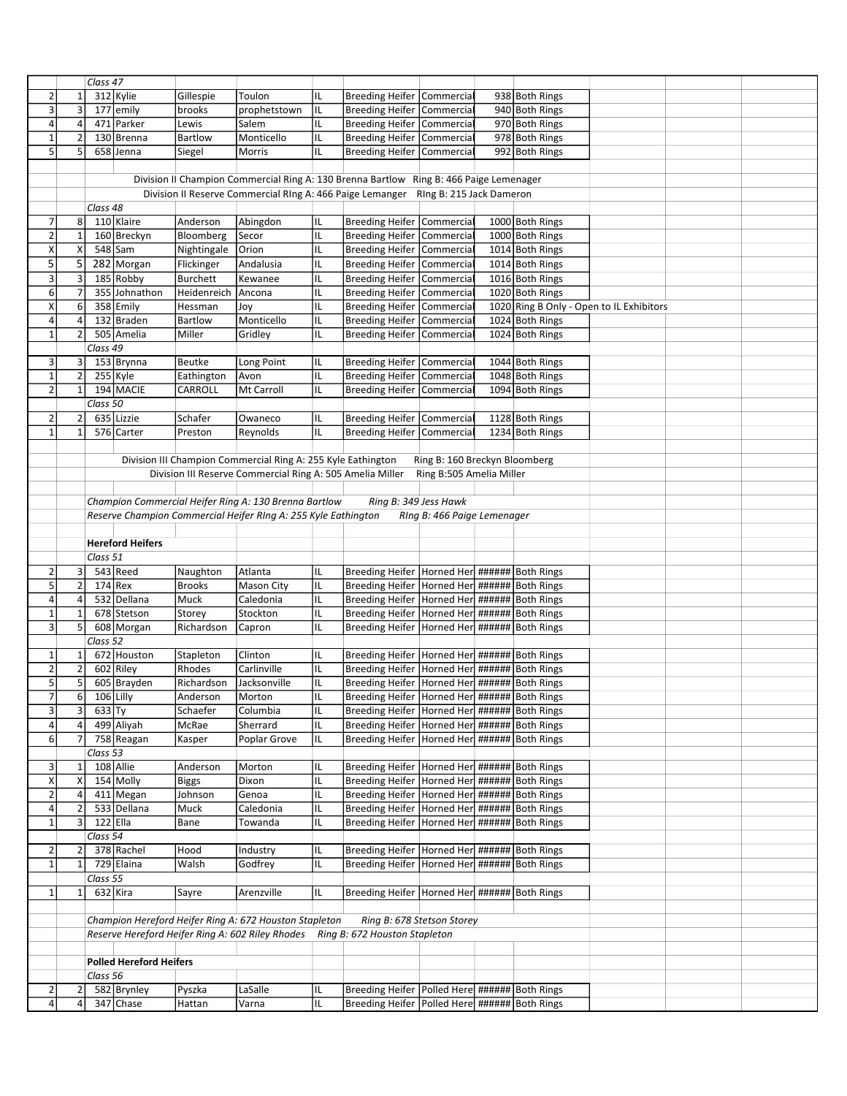|                           |                | Class $\overline{47}$ |                                |                |                                                                                        |     |                                                    |                               |                                          |  |  |
|---------------------------|----------------|-----------------------|--------------------------------|----------------|----------------------------------------------------------------------------------------|-----|----------------------------------------------------|-------------------------------|------------------------------------------|--|--|
| $\overline{2}$            | $\mathbf 1$    |                       | 312 Kylie                      | Gillespie      | Toulon                                                                                 | IL  | Breeding Heifer Commercia                          |                               | 938 Both Rings                           |  |  |
| $\ensuremath{\mathsf{3}}$ | $\mathbf{3}$   |                       | 177 emily                      | brooks         | prophetstown                                                                           | IL  | <b>Breeding Heifer Commercial</b>                  |                               | 940 Both Rings                           |  |  |
| $\sqrt{4}$                | 4              |                       | 471 Parker                     | Lewis          | Salem                                                                                  | IL  | Breeding Heifer Commercia                          |                               | 970 Both Rings                           |  |  |
| $\mathbf{1}$              | $\overline{2}$ |                       | 130 Brenna                     | Bartlow        | Monticello                                                                             | IL  | Breeding Heifer Commercia                          |                               | 978 Both Rings                           |  |  |
| $5\overline{)}$           | 5 <sup>1</sup> |                       | 658 Jenna                      | Siegel         | Morris                                                                                 | IL  | Breeding Heifer Commercia                          |                               | 992 Both Rings                           |  |  |
|                           |                |                       |                                |                |                                                                                        |     |                                                    |                               |                                          |  |  |
|                           |                |                       |                                |                |                                                                                        |     |                                                    |                               |                                          |  |  |
|                           |                |                       |                                |                | Division II Champion Commercial Ring A: 130 Brenna Bartlow Ring B: 466 Paige Lemenager |     |                                                    |                               |                                          |  |  |
|                           |                |                       |                                |                | Division II Reserve Commercial RIng A: 466 Paige Lemanger                              |     |                                                    | Ring B: 215 Jack Dameron      |                                          |  |  |
|                           |                | Class 48              |                                |                |                                                                                        |     |                                                    |                               |                                          |  |  |
| $\overline{7}$            | 8              |                       | 110 Klaire                     | Anderson       | Abingdon                                                                               | IL  | Breeding Heifer Commercia                          |                               | 1000 Both Rings                          |  |  |
| $\mathbf{2}$              | $\mathbf 1$    |                       | 160 Breckyn                    | Bloomberg      | Secor                                                                                  | IL  | <b>Breeding Heifer Commercia</b>                   |                               | 1000 Both Rings                          |  |  |
| X                         | X              |                       | $548$ Sam                      | Nightingale    | Orion                                                                                  | IL  | Breeding Heifer Commercia                          |                               | 1014 Both Rings                          |  |  |
| 5                         | 5              |                       | 282 Morgan                     | Flickinger     | Andalusia                                                                              | IL  | Breeding Heifer Commercia                          |                               | 1014 Both Rings                          |  |  |
| $\mathsf 3$               | $\mathbf{3}$   |                       | 185 Robby                      | Burchett       | Kewanee                                                                                | IL  | Breeding Heifer Commercia                          |                               | 1016 Both Rings                          |  |  |
| $\boldsymbol{6}$          | $\overline{7}$ |                       | 355 Johnathon                  | Heidenreich    | Ancona                                                                                 | IL  | Breeding Heifer Commercia                          |                               | 1020 Both Rings                          |  |  |
| X                         | 6              |                       | 358 Emily                      | Hessman        | Joy                                                                                    | IL  | Breeding Heifer Commercia                          |                               | 1020 Ring B Only - Open to IL Exhibitors |  |  |
| $\sqrt{4}$                | 4              |                       | 132 Braden                     | <b>Bartlow</b> | Monticello                                                                             | IL  | Breeding Heifer Commercia                          |                               | 1024 Both Rings                          |  |  |
| $1\,$                     | $\overline{2}$ |                       | 505 Amelia                     | Miller         | Gridley                                                                                | IL  | <b>Breeding Heifer Commercia</b>                   |                               | 1024 Both Rings                          |  |  |
|                           |                |                       |                                |                |                                                                                        |     |                                                    |                               |                                          |  |  |
|                           |                | Class 49              |                                |                |                                                                                        |     |                                                    |                               |                                          |  |  |
| 3                         | $\mathbf{3}$   |                       | 153 Brynna                     | Beutke         | Long Point                                                                             | IL  | Breeding Heifer Commercia                          |                               | 1044 Both Rings                          |  |  |
| $\mathbf 1$               | $\overline{2}$ |                       | 255 Kyle                       | Eathington     | Avon                                                                                   | IL  | Breeding Heifer Commercial                         |                               | 1048 Both Rings                          |  |  |
| $\overline{2}$            | $\mathbf{1}$   |                       | 194 MACIE                      | CARROLL        | Mt Carroll                                                                             | IL  | Breeding Heifer Commercia                          |                               | 1094 Both Rings                          |  |  |
|                           |                | Class $50$            |                                |                |                                                                                        |     |                                                    |                               |                                          |  |  |
| $\overline{2}$            | $\overline{2}$ |                       | 635 Lizzie                     | Schafer        | Owaneco                                                                                | IL  | <b>Breeding Heifer Commercia</b>                   |                               | 1128 Both Rings                          |  |  |
| $\mathbf{1}$              | 1              |                       | 576 Carter                     | Preston        | Reynolds                                                                               | IL  | Breeding Heifer Commercia                          |                               | 1234 Both Rings                          |  |  |
|                           |                |                       |                                |                |                                                                                        |     |                                                    |                               |                                          |  |  |
|                           |                |                       |                                |                | Division III Champion Commercial Ring A: 255 Kyle Eathington                           |     |                                                    | Ring B: 160 Breckyn Bloomberg |                                          |  |  |
|                           |                |                       |                                |                | Division III Reserve Commercial Ring A: 505 Amelia Miller                              |     |                                                    | Ring B:505 Amelia Miller      |                                          |  |  |
|                           |                |                       |                                |                |                                                                                        |     |                                                    |                               |                                          |  |  |
|                           |                |                       |                                |                | Champion Commercial Heifer Ring A: 130 Brenna Bartlow                                  |     | Ring B: 349 Jess Hawk                              |                               |                                          |  |  |
|                           |                |                       |                                |                |                                                                                        |     |                                                    |                               |                                          |  |  |
|                           |                |                       |                                |                | Reserve Champion Commercial Heifer RIng A: 255 Kyle Eathington                         |     |                                                    | RIng B: 466 Paige Lemenager   |                                          |  |  |
|                           |                |                       |                                |                |                                                                                        |     |                                                    |                               |                                          |  |  |
|                           |                |                       | <b>Hereford Heifers</b>        |                |                                                                                        |     |                                                    |                               |                                          |  |  |
|                           |                | Class 51              |                                |                |                                                                                        |     |                                                    |                               |                                          |  |  |
| $\overline{2}$            | 3              |                       | 543 Reed                       | Naughton       | Atlanta                                                                                | IL  | Breeding Heifer   Horned Her ######   Both Rings   |                               |                                          |  |  |
| 5                         | $\mathbf{2}$   |                       | $174$ Rex                      | <b>Brooks</b>  | Mason City                                                                             | IL  | Breeding Heifer   Horned Her ###### Both Rings     |                               |                                          |  |  |
| $\overline{a}$            | $\pmb{4}$      |                       | 532 Dellana                    | Muck           | Caledonia                                                                              | IL  | Breeding Heifer   Horned Her ######   Both Rings   |                               |                                          |  |  |
| $1\,$                     | $\mathbf 1$    |                       | 678 Stetson                    | Storey         | Stockton                                                                               | IL  | Breeding Heifer   Horned Her ######   Both Rings   |                               |                                          |  |  |
| 3                         | 5              |                       | 608 Morgan                     | Richardson     | Capron                                                                                 | IL  | Breeding Heifer Horned Her ###### Both Rings       |                               |                                          |  |  |
|                           |                | Class 52              |                                |                |                                                                                        |     |                                                    |                               |                                          |  |  |
| $\mathbf{1}$              | 1              |                       | 672 Houston                    | Stapleton      | Clinton                                                                                | IL  | Breeding Heifer   Horned Her ######   Both Rings   |                               |                                          |  |  |
| $\overline{2}$            | $\overline{2}$ |                       | 602 Riley                      | Rhodes         | Carlinville                                                                            | IL  | Breeding Heifer Horned Her ###### Both Rings       |                               |                                          |  |  |
| 5                         |                |                       | 605 Brayden                    |                | Jacksonville                                                                           | IL  | Breeding Heifer Horned Her ###### Both Rings       |                               |                                          |  |  |
|                           | 5              |                       |                                | Richardson     |                                                                                        |     |                                                    |                               |                                          |  |  |
| 7                         | 6              |                       | 106 Lilly                      | Anderson       | Morton                                                                                 | IL. | Breeding Heifer   Horned Her ######   Both Rings   |                               |                                          |  |  |
| $\mathsf 3$               | $\overline{3}$ | 633 Ty                |                                | Schaefer       | Columbia                                                                               | IL  | Breeding Heifer   Horned Her ######   Both Rings   |                               |                                          |  |  |
| $\pmb{4}$                 | 4              |                       | 499 Aliyah                     | McRae          | Sherrard                                                                               | IL  | Breeding Heifer   Horned Her ######   Both Rings   |                               |                                          |  |  |
| 6                         | $\overline{7}$ |                       | 758 Reagan                     | Kasper         | Poplar Grove                                                                           | IL  | Breeding Heifer   Horned Her ######   Both Rings   |                               |                                          |  |  |
|                           |                | Class 53              |                                |                |                                                                                        |     |                                                    |                               |                                          |  |  |
| 3                         | $\mathbf{1}$   |                       | 108 Allie                      | Anderson       | Morton                                                                                 | IL  | Breeding Heifer   Horned Her ######   Both Rings   |                               |                                          |  |  |
| $\pmb{\mathsf{X}}$        | x              |                       | 154 Molly                      | <b>Biggs</b>   | Dixon                                                                                  | IL  | Breeding Heifer Horned Her ###### Both Rings       |                               |                                          |  |  |
| $\mathbf{2}$              | $\overline{4}$ |                       | 411 Megan                      | Johnson        | Genoa                                                                                  | IL  | Breeding Heifer   Horned Her ######   Both Rings   |                               |                                          |  |  |
| $\pmb{4}$                 | $\overline{2}$ |                       | 533 Dellana                    | Muck           | Caledonia                                                                              | IL  | Breeding Heifer   Horned Her ###### Both Rings     |                               |                                          |  |  |
| $\mathbf 1$               | $\overline{3}$ |                       | $122$ Ella                     | Bane           | Towanda                                                                                | IL  | Breeding Heifer Horned Her ###### Both Rings       |                               |                                          |  |  |
|                           |                | Class 54              |                                |                |                                                                                        |     |                                                    |                               |                                          |  |  |
| $\overline{2}$            |                |                       | 378 Rachel                     | Hood           |                                                                                        | IL  | Breeding Heifer   Horned Her ######   Both Rings   |                               |                                          |  |  |
|                           | $\overline{2}$ |                       |                                |                | Industry                                                                               |     |                                                    |                               |                                          |  |  |
| $\mathbf 1$               | $1\vert$       |                       | 729 Elaina                     | Walsh          | Godfrey                                                                                | IL  | Breeding Heifer   Horned Her ######   Both Rings   |                               |                                          |  |  |
|                           |                | Class 55              |                                |                |                                                                                        |     |                                                    |                               |                                          |  |  |
| $1\,$                     | $\mathbf{1}$   |                       | 632 Kira                       | Sayre          | Arenzville                                                                             | IL  | Breeding Heifer   Horned Her ######   Both Rings   |                               |                                          |  |  |
|                           |                |                       |                                |                |                                                                                        |     |                                                    |                               |                                          |  |  |
|                           |                |                       |                                |                | Champion Hereford Heifer Ring A: 672 Houston Stapleton                                 |     | Ring B: 678 Stetson Storey                         |                               |                                          |  |  |
|                           |                |                       |                                |                | Reserve Hereford Heifer Ring A: 602 Riley Rhodes                                       |     | Ring B: 672 Houston Stapleton                      |                               |                                          |  |  |
|                           |                |                       |                                |                |                                                                                        |     |                                                    |                               |                                          |  |  |
|                           |                |                       | <b>Polled Hereford Heifers</b> |                |                                                                                        |     |                                                    |                               |                                          |  |  |
|                           |                | Class 56              |                                |                |                                                                                        |     |                                                    |                               |                                          |  |  |
| $\overline{2}$            | 2              |                       | 582 Brynley                    | Pyszka         | LaSalle                                                                                | IL  | Breeding Heifer   Polled Here #######   Both Rings |                               |                                          |  |  |
| $\sqrt{4}$                | $\overline{4}$ |                       | 347 Chase                      | Hattan         | Varna                                                                                  | IL  | Breeding Heifer   Polled Here ######   Both Rings  |                               |                                          |  |  |
|                           |                |                       |                                |                |                                                                                        |     |                                                    |                               |                                          |  |  |